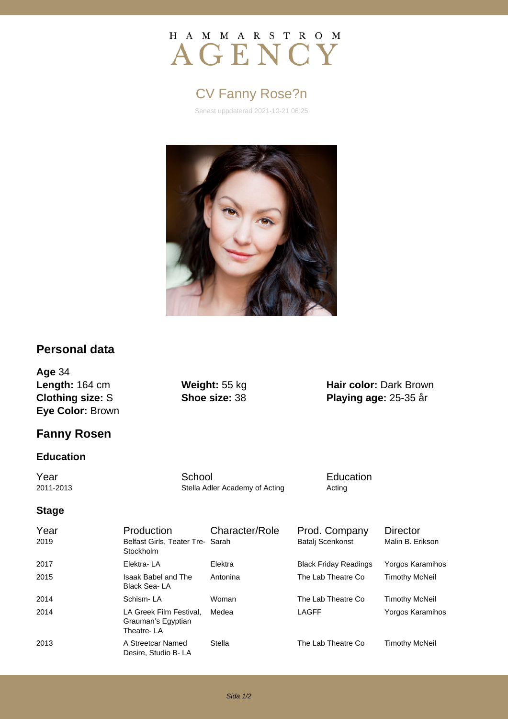# H A M M A R S T R O M AGENCY

# CV Fanny Rose?n

Senast uppdaterad 2021-10-21 06:25



### **Personal data**

**Age** 34 **Length:** 164 cm **Weight:** 55 kg **Hair color:** Dark Brown **Clothing size:** S **Shoe size:** 38 **Playing age:** 25-35 år **Eye Color:** Brown

## **Fanny Rosen**

#### **Education**

**The School School** School Education<br>
2011-2013 Stella Adler Academy of Acting Acting Acting

Stella Adler Academy of Acting **Acting** Acting

## **Stage**

| Year<br>2019 | Production<br>Belfast Girls, Teater Tre- Sarah<br>Stockholm | Character/Role | Prod. Company<br><b>Batalj Scenkonst</b> | <b>Director</b><br>Malin B. Erikson |
|--------------|-------------------------------------------------------------|----------------|------------------------------------------|-------------------------------------|
| 2017         | Elektra-LA                                                  | Elektra        | <b>Black Friday Readings</b>             | Yorgos Karamihos                    |
| 2015         | Isaak Babel and The<br>Black Sea-LA                         | Antonina       | The Lab Theatre Co                       | <b>Timothy McNeil</b>               |
| 2014         | Schism-LA                                                   | Woman          | The Lab Theatre Co                       | <b>Timothy McNeil</b>               |
| 2014         | LA Greek Film Festival.<br>Grauman's Egyptian<br>Theatre-LA | Medea          | LAGFF                                    | Yorgos Karamihos                    |
| 2013         | A Streetcar Named<br>Desire, Studio B-LA                    | Stella         | The Lab Theatre Co                       | <b>Timothy McNeil</b>               |